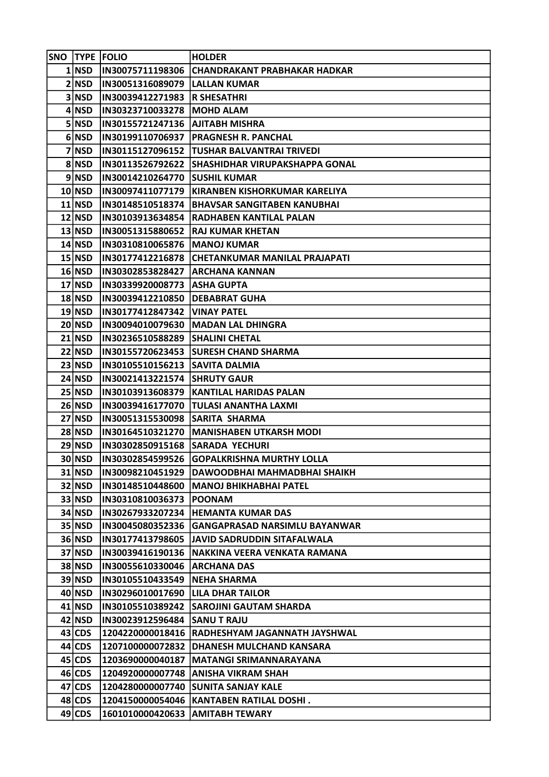|           | SNO  TYPE  FOLIO                      | <b>HOLDER</b>                                    |
|-----------|---------------------------------------|--------------------------------------------------|
| $1 $ NSD  |                                       | IN30075711198306 CHANDRAKANT PRABHAKAR HADKAR    |
| 2 NSD     | IN30051316089079  LALLAN KUMAR        |                                                  |
| 3 NSD     | IN30039412271983 R SHESATHRI          |                                                  |
| 4 NSD     | IN30323710033278   MOHD ALAM          |                                                  |
| $5 $ NSD  | IN30155721247136   AJITABH MISHRA     |                                                  |
| 6 NSD     |                                       | IN30199110706937  PRAGNESH R. PANCHAL            |
| 7 NSD     |                                       | IN30115127096152  TUSHAR BALVANTRAI TRIVEDI      |
| 8 NSD     |                                       | IN30113526792622 SHASHIDHAR VIRUPAKSHAPPA GONAL  |
| 9 NSD     | <b>IN30014210264770 SUSHIL KUMAR</b>  |                                                  |
| $10 $ NSD |                                       | IN30097411077179   KIRANBEN KISHORKUMAR KARELIYA |
| $11 $ NSD |                                       | IN30148510518374  BHAVSAR SANGITABEN KANUBHAI    |
| $12 $ NSD |                                       | IN30103913634854  RADHABEN KANTILAL PALAN        |
| $13 $ NSD |                                       | IN30051315880652  RAJ KUMAR KHETAN               |
| 14 NSD    | IN30310810065876  MANOJ KUMAR         |                                                  |
| $15 $ NSD |                                       | IN30177412216878 CHETANKUMAR MANILAL PRAJAPATI   |
| $16 $ NSD | IN30302853828427 ARCHANA KANNAN       |                                                  |
| $17 $ NSD | IN30339920008773   ASHA GUPTA         |                                                  |
| $18 $ NSD | IN30039412210850 DEBABRAT GUHA        |                                                  |
| $19 $ NSD | IN30177412847342   VINAY PATEL        |                                                  |
| $20 $ NSD |                                       | <b>IN30094010079630 MADAN LAL DHINGRA</b>        |
| $21 $ NSD | IN30236510588289 SHALINI CHETAL       |                                                  |
| 22 NSD    |                                       | IN30155720623453 SURESH CHAND SHARMA             |
| 23 NSD    | IN30105510156213  SAVITA DALMIA       |                                                  |
| 24 NSD    | <b>IN30021413221574 SHRUTY GAUR</b>   |                                                  |
| $25 $ NSD |                                       | IN30103913608379  KANTILAL HARIDAS PALAN         |
| 26 NSD    |                                       | IN30039416177070 TULASI ANANTHA LAXMI            |
| 27 NSD    | <b>IN30051315530098 SARITA SHARMA</b> |                                                  |
| $28 $ NSD |                                       | IN30164510321270   MANISHABEN UTKARSH MODI       |
| 29 NSD    | IN30302850915168  SARADA YECHURI      |                                                  |
| 30 NSD    |                                       | IN30302854599526 GOPALKRISHNA MURTHY LOLLA       |
| 31   NSD  |                                       | IN30098210451929 DAWOODBHAI MAHMADBHAI SHAIKH    |
| 32 NSD    |                                       | IN30148510448600   MANOJ BHIKHABHAI PATEL        |
| 33 NSD    | IN30310810036373  POONAM              |                                                  |
| $34$ NSD  |                                       | IN30267933207234 HEMANTA KUMAR DAS               |
| $35 $ NSD |                                       | IN30045080352336 GANGAPRASAD NARSIMLU BAYANWAR   |
| $36 $ NSD |                                       | IN30177413798605  JAVID SADRUDDIN SITAFALWALA    |
| 37 NSD    |                                       | IN30039416190136  NAKKINA VEERA VENKATA RAMANA   |
| 38 NSD    | IN30055610330046 ARCHANA DAS          |                                                  |
| $39 $ NSD | IN30105510433549  NEHA SHARMA         |                                                  |
| $40 $ NSD | IN30296010017690   LILA DHAR TAILOR   |                                                  |
| $41$ NSD  |                                       | IN30105510389242 SAROJINI GAUTAM SHARDA          |
| 42 NSD    | IN30023912596484  SANU T RAJU         |                                                  |
| 43 CDS    |                                       | 1204220000018416 RADHESHYAM JAGANNATH JAYSHWAL   |
| 44 CDS    |                                       | 1207100000072832 DHANESH MULCHAND KANSARA        |
| 45 CDS    |                                       | 1203690000040187   MATANGI SRIMANNARAYANA        |
| 46 CDS    |                                       | 1204920000007748   ANISHA VIKRAM SHAH            |
| 47 CDS    |                                       | 1204280000007740 SUNITA SANJAY KALE              |
| 48 CDS    |                                       | 1204150000054046   KANTABEN RATILAL DOSHI.       |
| 49 CDS    | 1601010000420633   AMITABH TEWARY     |                                                  |